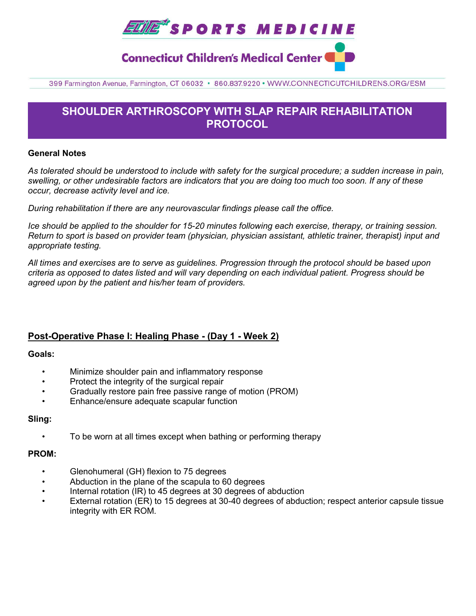

# **Connecticut Children's Medical Center**

399 Farmington Avenue, Farmington, CT 06032 · 860.837.9220 · WWW.CONNECTICUTCHILDRENS.ORG/ESM

# **SHOULDER ARTHROSCOPY WITH SLAP REPAIR REHABILITATION PROTOCOL**

#### **General Notes**

*As tolerated should be understood to include with safety for the surgical procedure; a sudden increase in pain, swelling, or other undesirable factors are indicators that you are doing too much too soon. If any of these occur, decrease activity level and ice.* 

*During rehabilitation if there are any neurovascular findings please call the office.*

*Ice should be applied to the shoulder for 15-20 minutes following each exercise, therapy, or training session. Return to sport is based on provider team (physician, physician assistant, athletic trainer, therapist) input and appropriate testing.*

*All times and exercises are to serve as guidelines. Progression through the protocol should be based upon criteria as opposed to dates listed and will vary depending on each individual patient. Progress should be agreed upon by the patient and his/her team of providers.*

### **Post-Operative Phase I: Healing Phase - (Day 1 - Week 2)**

#### **Goals:**

- Minimize shoulder pain and inflammatory response
- Protect the integrity of the surgical repair
- Gradually restore pain free passive range of motion (PROM)
- Enhance/ensure adequate scapular function

#### **Sling:**

• To be worn at all times except when bathing or performing therapy

#### **PROM:**

- Glenohumeral (GH) flexion to 75 degrees
- Abduction in the plane of the scapula to 60 degrees
- Internal rotation (IR) to 45 degrees at 30 degrees of abduction
- External rotation (ER) to 15 degrees at 30-40 degrees of abduction; respect anterior capsule tissue integrity with ER ROM.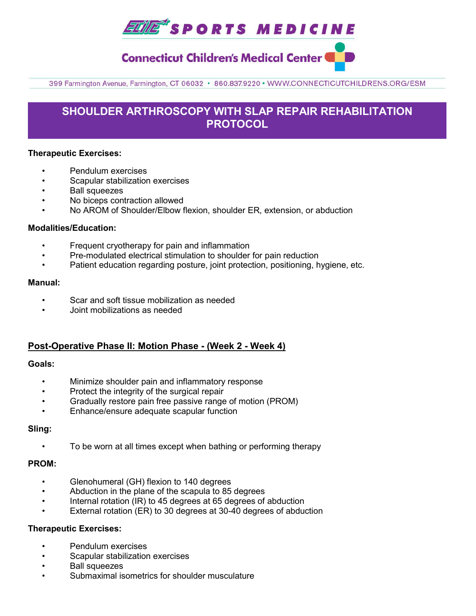

# **Connecticut Children's Medical Center**

399 Farmington Avenue, Farmington, CT 06032 · 860.837.9220 · WWW.CONNECTICUTCHILDRENS.ORG/ESM

# **SHOULDER ARTHROSCOPY WITH SLAP REPAIR REHABILITATION PROTOCOL**

#### **Therapeutic Exercises:**

- Pendulum exercises
- Scapular stabilization exercises
- Ball squeezes
- No biceps contraction allowed
- No AROM of Shoulder/Elbow flexion, shoulder ER, extension, or abduction

#### **Modalities/Education:**

- Frequent cryotherapy for pain and inflammation
- Pre-modulated electrical stimulation to shoulder for pain reduction
- Patient education regarding posture, joint protection, positioning, hygiene, etc.

#### **Manual:**

- Scar and soft tissue mobilization as needed
- Joint mobilizations as needed

### **Post-Operative Phase II: Motion Phase - (Week 2 - Week 4)**

#### **Goals:**

- Minimize shoulder pain and inflammatory response
- Protect the integrity of the surgical repair
- Gradually restore pain free passive range of motion (PROM)
- Enhance/ensure adequate scapular function

#### **Sling:**

• To be worn at all times except when bathing or performing therapy

#### **PROM:**

- Glenohumeral (GH) flexion to 140 degrees
- Abduction in the plane of the scapula to 85 degrees
- Internal rotation (IR) to 45 degrees at 65 degrees of abduction
- External rotation (ER) to 30 degrees at 30-40 degrees of abduction

#### **Therapeutic Exercises:**

- Pendulum exercises
- Scapular stabilization exercises
- Ball squeezes
- Submaximal isometrics for shoulder musculature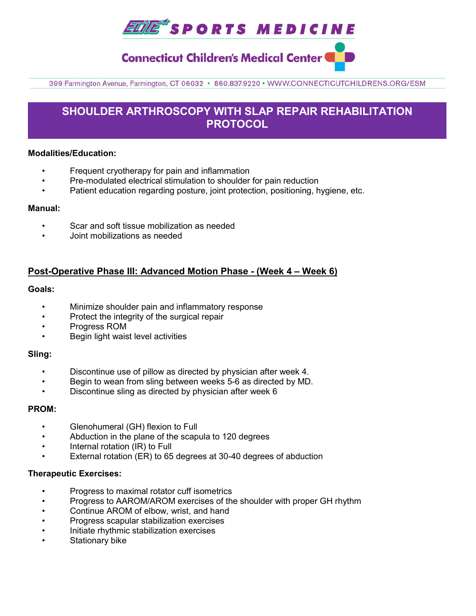

**Connecticut Children's Medical Center (** 

399 Farmington Avenue, Farmington, CT 06032 · 860.837.9220 · WWW.CONNECTICUTCHILDRENS.ORG/ESM

# **SHOULDER ARTHROSCOPY WITH SLAP REPAIR REHABILITATION PROTOCOL**

#### **Modalities/Education:**

- Frequent cryotherapy for pain and inflammation
- Pre-modulated electrical stimulation to shoulder for pain reduction
- Patient education regarding posture, joint protection, positioning, hygiene, etc.

#### **Manual:**

- Scar and soft tissue mobilization as needed
- Joint mobilizations as needed

## **Post-Operative Phase III: Advanced Motion Phase - (Week 4 – Week 6)**

#### **Goals:**

- Minimize shoulder pain and inflammatory response
- Protect the integrity of the surgical repair
- Progress ROM
- Begin light waist level activities

#### **Sling:**

- Discontinue use of pillow as directed by physician after week 4.
- Begin to wean from sling between weeks 5-6 as directed by MD.
- Discontinue sling as directed by physician after week 6

#### **PROM:**

- Glenohumeral (GH) flexion to Full
- Abduction in the plane of the scapula to 120 degrees
- Internal rotation (IR) to Full
- External rotation (ER) to 65 degrees at 30-40 degrees of abduction

#### **Therapeutic Exercises:**

- Progress to maximal rotator cuff isometrics
- Progress to AAROM/AROM exercises of the shoulder with proper GH rhythm
- Continue AROM of elbow, wrist, and hand
- Progress scapular stabilization exercises
- Initiate rhythmic stabilization exercises
- Stationary bike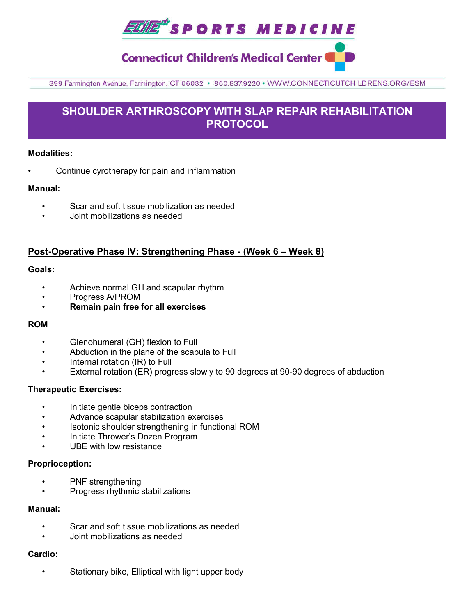

# **Connecticut Children's Medical Center (**

399 Farmington Avenue, Farmington, CT 06032 · 860.837.9220 · WWW.CONNECTICUTCHILDRENS.ORG/ESM

# **SHOULDER ARTHROSCOPY WITH SLAP REPAIR REHABILITATION PROTOCOL**

### **Modalities:**

• Continue cyrotherapy for pain and inflammation

### **Manual:**

- Scar and soft tissue mobilization as needed
- Joint mobilizations as needed

## **Post-Operative Phase IV: Strengthening Phase - (Week 6 – Week 8)**

#### **Goals:**

- Achieve normal GH and scapular rhythm
- Progress A/PROM
- **Remain pain free for all exercises**

#### **ROM**

- Glenohumeral (GH) flexion to Full
- Abduction in the plane of the scapula to Full
- Internal rotation (IR) to Full
- External rotation (ER) progress slowly to 90 degrees at 90-90 degrees of abduction

#### **Therapeutic Exercises:**

- Initiate gentle biceps contraction
- Advance scapular stabilization exercises
- Isotonic shoulder strengthening in functional ROM
- Initiate Thrower's Dozen Program
- UBE with low resistance

#### **Proprioception:**

- PNF strengthening
- Progress rhythmic stabilizations

#### **Manual:**

- Scar and soft tissue mobilizations as needed
- Joint mobilizations as needed

### **Cardio:**

• Stationary bike, Elliptical with light upper body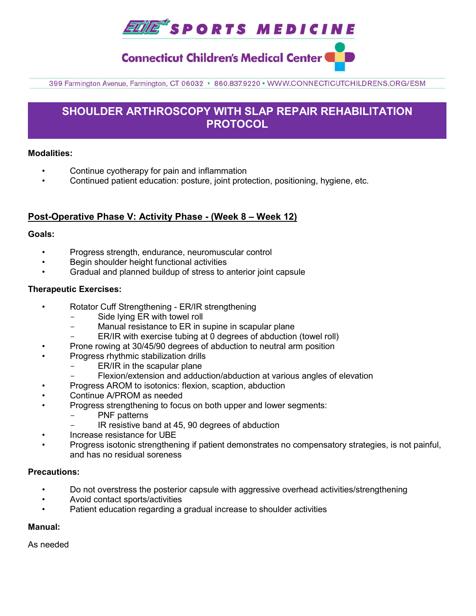**ELITE\*** SPORTS MEDICINE

**Connecticut Children's Medical Center (** 

399 Farmington Avenue, Farmington, CT 06032 · 860.837.9220 · WWW.CONNECTICUTCHILDRENS.ORG/ESM

# **SHOULDER ARTHROSCOPY WITH SLAP REPAIR REHABILITATION PROTOCOL**

### **Modalities:**

- Continue cyotherapy for pain and inflammation
- Continued patient education: posture, joint protection, positioning, hygiene, etc.

## **Post-Operative Phase V: Activity Phase - (Week 8 – Week 12)**

### **Goals:**

- Progress strength, endurance, neuromuscular control
- Begin shoulder height functional activities
- Gradual and planned buildup of stress to anterior joint capsule

### **Therapeutic Exercises:**

- Rotator Cuff Strengthening ER/IR strengthening
	- Side lying ER with towel roll
	- Manual resistance to ER in supine in scapular plane
	- ER/IR with exercise tubing at 0 degrees of abduction (towel roll)
	- Prone rowing at 30/45/90 degrees of abduction to neutral arm position
- Progress rhythmic stabilization drills
	- ER/IR in the scapular plane
	- Flexion/extension and adduction/abduction at various angles of elevation
- Progress AROM to isotonics: flexion, scaption, abduction
- Continue A/PROM as needed
- Progress strengthening to focus on both upper and lower segments:
	- PNF patterns
	- IR resistive band at 45, 90 degrees of abduction
- Increase resistance for UBE
- Progress isotonic strengthening if patient demonstrates no compensatory strategies, is not painful, and has no residual soreness

#### **Precautions:**

- Do not overstress the posterior capsule with aggressive overhead activities/strengthening
- Avoid contact sports/activities
- Patient education regarding a gradual increase to shoulder activities

#### **Manual:**

As needed